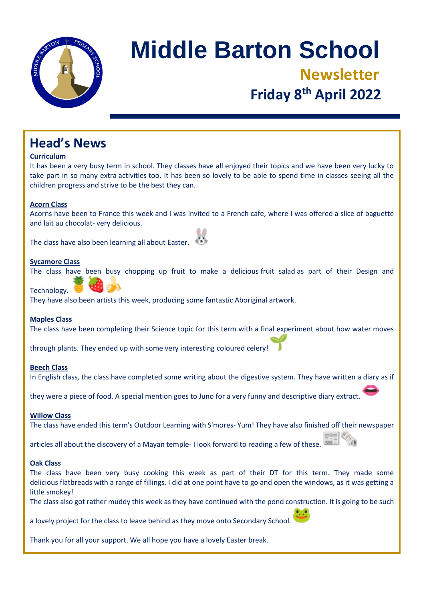

# **Middle Barton School Newsletter Friday 8 th April 2022**

### **Head's News**

#### **Curriculum**

It has been a very busy term in school. They classes have all enjoyed their topics and we have been very lucky to take part in so many extra activities too. It has been so lovely to be able to spend time in classes seeing all the children progress and strive to be the best they can.

#### **Acorn Class**

Acorns have been to France this week and I was invited to a French cafe, where I was offered a slice of baguette and lait au chocolat- very delicious.

The class have also been learning all about Easter.

#### **Sycamore Class**

The class have been busy chopping up fruit to make a delicious fruit salad as part of their Design and

Technology.

They have also been artists this week, producing some fantastic Aboriginal artwork.

#### **Maples Class**

The class have been completing their Science topic for this term with a final experiment about how water moves

through plants. They ended up with some very interesting coloured celery!

#### **Beech Class**

In English class, the class have completed some writing about the digestive system. They have written a diary as if

they were a piece of food. A special mention goes to Juno for a very funny and descriptive diary extract.

#### **Willow Class**

The class have ended this term's Outdoor Learning with S'mores- Yum! They have also finished off their newspaper

articles all about the discovery of a Mayan temple- I look forward to reading a few of these.

#### **Oak Class**

The class have been very busy cooking this week as part of their DT for this term. They made some delicious flatbreads with a range of fillings. I did at one point have to go and open the windows, as it was getting a little smokey!

The class also got rather muddy this week as they have continued with the pond construction. It is going to be such

a lovely project for the class to leave behind as they move onto Secondary School.

Thank you for all your support. We all hope you have a lovely Easter break.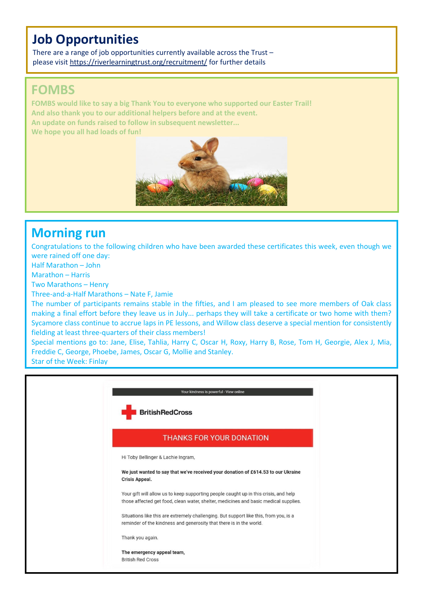### **Job Opportunities**

There are a range of job opportunities currently available across the Trust – please visit <https://riverlearningtrust.org/recruitment/> for further details

### **FOMBS**

**FOMBS would like to say a big Thank You to everyone who supported our Easter Trail! And also thank you to our additional helpers before and at the event. An update on funds raised to follow in subsequent newsletter... We hope you all had loads of fun!**



### **Morning run**

Congratulations to the following children who have been awarded these certificates this week, even though we were rained off one day:

Half Marathon – John

Marathon – Harris

Two Marathons – Henry

Three-and-a-Half Marathons – Nate F, Jamie

The number of participants remains stable in the fifties, and I am pleased to see more members of Oak class making a final effort before they leave us in July... perhaps they will take a certificate or two home with them? Sycamore class continue to accrue laps in PE lessons, and Willow class deserve a special mention for consistently fielding at least three-quarters of their class members!

Special mentions go to: Jane, Elise, Tahlia, Harry C, Oscar H, Roxy, Harry B, Rose, Tom H, Georgie, Alex J, Mia, Freddie C, George, Phoebe, James, Oscar G, Mollie and Stanley.

Star of the Week: Finlay

| Your kindness is powerful - View online                                                                                                                                      |  |
|------------------------------------------------------------------------------------------------------------------------------------------------------------------------------|--|
| <b>BritishRedCross</b>                                                                                                                                                       |  |
| <b>THANKS FOR YOUR DONATION</b>                                                                                                                                              |  |
| Hi Toby Bellinger & Lachie Ingram,                                                                                                                                           |  |
| We just wanted to say that we've received your donation of £614.53 to our Ukraine<br><b>Crisis Appeal.</b>                                                                   |  |
| Your gift will allow us to keep supporting people caught up in this crisis, and help<br>those affected get food, clean water, shelter, medicines and basic medical supplies. |  |
| Situations like this are extremely challenging. But support like this, from you, is a<br>reminder of the kindness and generosity that there is in the world.                 |  |
| Thank you again.                                                                                                                                                             |  |
| The emergency appeal team,<br><b>British Red Cross</b>                                                                                                                       |  |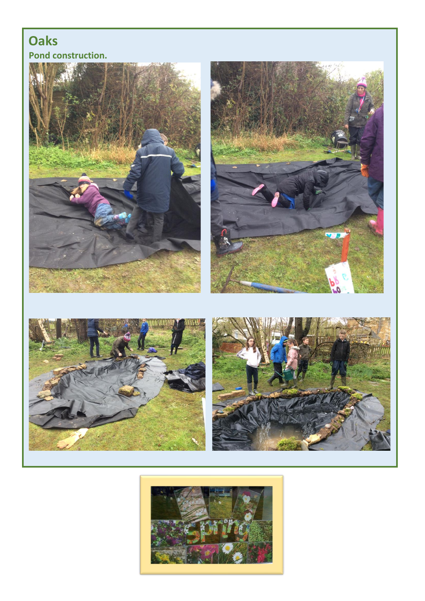### **Oaks Pond construction.**



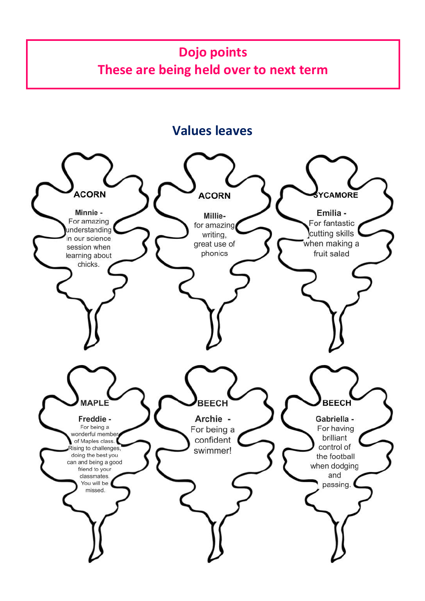## **Dojo points These are being held over to next term**